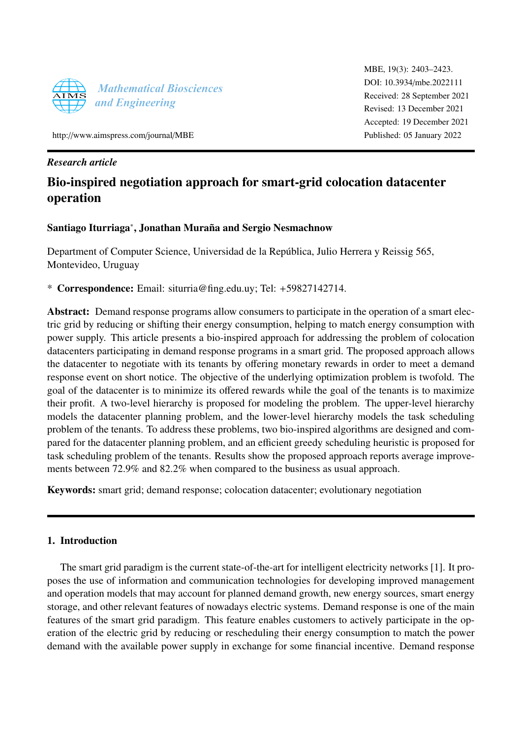

MBE, 19(3): 2403–2423. [DOI: 10.3934](http://dx.doi.org/10.3934/mbe.2022111)/mbe.2022111 Received: 28 September 2021 Revised: 13 December 2021 Accepted: 19 December 2021 Published: 05 January 2022

http://[www.aimspress.com](http://http://www.aimspress.com/journal/MBE)/journal/MBE

# *Research article*

# Bio-inspired negotiation approach for smart-grid colocation datacenter operation

# Santiago Iturriaga<sup>∗</sup>, Jonathan Muraña and Sergio Nesmachnow

Department of Computer Science, Universidad de la República, Julio Herrera y Reissig 565, Montevideo, Uruguay

\* Correspondence: Email: siturria@fing.edu.uy; Tel: +59827142714.

Abstract: Demand response programs allow consumers to participate in the operation of a smart electric grid by reducing or shifting their energy consumption, helping to match energy consumption with power supply. This article presents a bio-inspired approach for addressing the problem of colocation datacenters participating in demand response programs in a smart grid. The proposed approach allows the datacenter to negotiate with its tenants by offering monetary rewards in order to meet a demand response event on short notice. The objective of the underlying optimization problem is twofold. The goal of the datacenter is to minimize its offered rewards while the goal of the tenants is to maximize their profit. A two-level hierarchy is proposed for modeling the problem. The upper-level hierarchy models the datacenter planning problem, and the lower-level hierarchy models the task scheduling problem of the tenants. To address these problems, two bio-inspired algorithms are designed and compared for the datacenter planning problem, and an efficient greedy scheduling heuristic is proposed for task scheduling problem of the tenants. Results show the proposed approach reports average improvements between 72.9% and 82.2% when compared to the business as usual approach.

Keywords: smart grid; demand response; colocation datacenter; evolutionary negotiation

# 1. Introduction

The smart grid paradigm is the current state-of-the-art for intelligent electricity networks [\[1\]](#page-18-0). It proposes the use of information and communication technologies for developing improved management and operation models that may account for planned demand growth, new energy sources, smart energy storage, and other relevant features of nowadays electric systems. Demand response is one of the main features of the smart grid paradigm. This feature enables customers to actively participate in the operation of the electric grid by reducing or rescheduling their energy consumption to match the power demand with the available power supply in exchange for some financial incentive. Demand response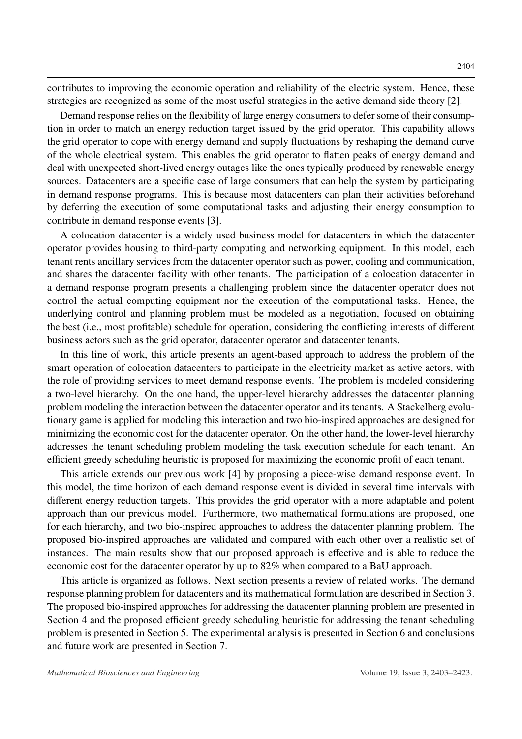contributes to improving the economic operation and reliability of the electric system. Hence, these strategies are recognized as some of the most useful strategies in the active demand side theory [\[2\]](#page-18-1).

Demand response relies on the flexibility of large energy consumers to defer some of their consumption in order to match an energy reduction target issued by the grid operator. This capability allows the grid operator to cope with energy demand and supply fluctuations by reshaping the demand curve of the whole electrical system. This enables the grid operator to flatten peaks of energy demand and deal with unexpected short-lived energy outages like the ones typically produced by renewable energy sources. Datacenters are a specific case of large consumers that can help the system by participating in demand response programs. This is because most datacenters can plan their activities beforehand by deferring the execution of some computational tasks and adjusting their energy consumption to contribute in demand response events [\[3\]](#page-18-2).

A colocation datacenter is a widely used business model for datacenters in which the datacenter operator provides housing to third-party computing and networking equipment. In this model, each tenant rents ancillary services from the datacenter operator such as power, cooling and communication, and shares the datacenter facility with other tenants. The participation of a colocation datacenter in a demand response program presents a challenging problem since the datacenter operator does not control the actual computing equipment nor the execution of the computational tasks. Hence, the underlying control and planning problem must be modeled as a negotiation, focused on obtaining the best (i.e., most profitable) schedule for operation, considering the conflicting interests of different business actors such as the grid operator, datacenter operator and datacenter tenants.

In this line of work, this article presents an agent-based approach to address the problem of the smart operation of colocation datacenters to participate in the electricity market as active actors, with the role of providing services to meet demand response events. The problem is modeled considering a two-level hierarchy. On the one hand, the upper-level hierarchy addresses the datacenter planning problem modeling the interaction between the datacenter operator and its tenants. A Stackelberg evolutionary game is applied for modeling this interaction and two bio-inspired approaches are designed for minimizing the economic cost for the datacenter operator. On the other hand, the lower-level hierarchy addresses the tenant scheduling problem modeling the task execution schedule for each tenant. An efficient greedy scheduling heuristic is proposed for maximizing the economic profit of each tenant.

This article extends our previous work [\[4\]](#page-18-3) by proposing a piece-wise demand response event. In this model, the time horizon of each demand response event is divided in several time intervals with different energy reduction targets. This provides the grid operator with a more adaptable and potent approach than our previous model. Furthermore, two mathematical formulations are proposed, one for each hierarchy, and two bio-inspired approaches to address the datacenter planning problem. The proposed bio-inspired approaches are validated and compared with each other over a realistic set of instances. The main results show that our proposed approach is effective and is able to reduce the economic cost for the datacenter operator by up to 82% when compared to a BaU approach.

This article is organized as follows. Next section presents a review of related works. The demand response planning problem for datacenters and its mathematical formulation are described in Section [3.](#page-5-0) The proposed bio-inspired approaches for addressing the datacenter planning problem are presented in Section [4](#page-8-0) and the proposed efficient greedy scheduling heuristic for addressing the tenant scheduling problem is presented in Section [5.](#page-11-0) The experimental analysis is presented in Section [6](#page-11-1) and conclusions and future work are presented in Section [7.](#page-16-0)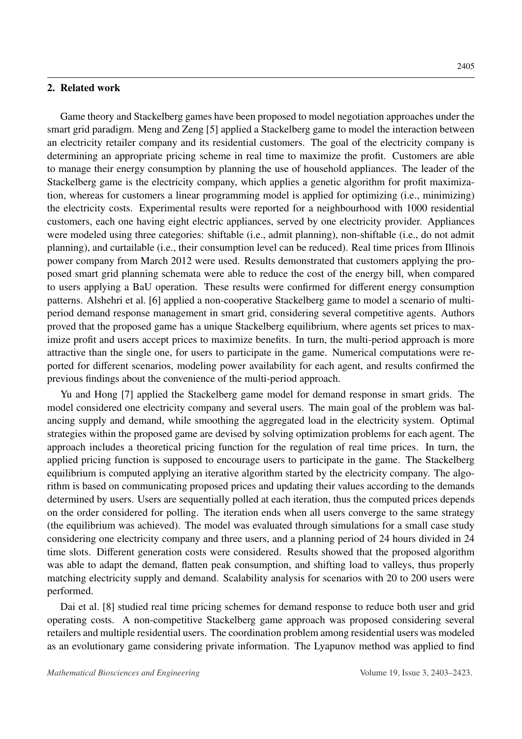#### 2. Related work

Game theory and Stackelberg games have been proposed to model negotiation approaches under the smart grid paradigm. Meng and Zeng [\[5\]](#page-18-4) applied a Stackelberg game to model the interaction between an electricity retailer company and its residential customers. The goal of the electricity company is determining an appropriate pricing scheme in real time to maximize the profit. Customers are able to manage their energy consumption by planning the use of household appliances. The leader of the Stackelberg game is the electricity company, which applies a genetic algorithm for profit maximization, whereas for customers a linear programming model is applied for optimizing (i.e., minimizing) the electricity costs. Experimental results were reported for a neighbourhood with 1000 residential customers, each one having eight electric appliances, served by one electricity provider. Appliances were modeled using three categories: shiftable (i.e., admit planning), non-shiftable (i.e., do not admit planning), and curtailable (i.e., their consumption level can be reduced). Real time prices from Illinois power company from March 2012 were used. Results demonstrated that customers applying the proposed smart grid planning schemata were able to reduce the cost of the energy bill, when compared to users applying a BaU operation. These results were confirmed for different energy consumption patterns. Alshehri et al. [\[6\]](#page-18-5) applied a non-cooperative Stackelberg game to model a scenario of multiperiod demand response management in smart grid, considering several competitive agents. Authors proved that the proposed game has a unique Stackelberg equilibrium, where agents set prices to maximize profit and users accept prices to maximize benefits. In turn, the multi-period approach is more

previous findings about the convenience of the multi-period approach. Yu and Hong [\[7\]](#page-18-6) applied the Stackelberg game model for demand response in smart grids. The model considered one electricity company and several users. The main goal of the problem was balancing supply and demand, while smoothing the aggregated load in the electricity system. Optimal strategies within the proposed game are devised by solving optimization problems for each agent. The approach includes a theoretical pricing function for the regulation of real time prices. In turn, the applied pricing function is supposed to encourage users to participate in the game. The Stackelberg equilibrium is computed applying an iterative algorithm started by the electricity company. The algorithm is based on communicating proposed prices and updating their values according to the demands determined by users. Users are sequentially polled at each iteration, thus the computed prices depends on the order considered for polling. The iteration ends when all users converge to the same strategy (the equilibrium was achieved). The model was evaluated through simulations for a small case study considering one electricity company and three users, and a planning period of 24 hours divided in 24 time slots. Different generation costs were considered. Results showed that the proposed algorithm was able to adapt the demand, flatten peak consumption, and shifting load to valleys, thus properly matching electricity supply and demand. Scalability analysis for scenarios with 20 to 200 users were performed.

attractive than the single one, for users to participate in the game. Numerical computations were reported for different scenarios, modeling power availability for each agent, and results confirmed the

Dai et al. [\[8\]](#page-18-7) studied real time pricing schemes for demand response to reduce both user and grid operating costs. A non-competitive Stackelberg game approach was proposed considering several retailers and multiple residential users. The coordination problem among residential users was modeled as an evolutionary game considering private information. The Lyapunov method was applied to find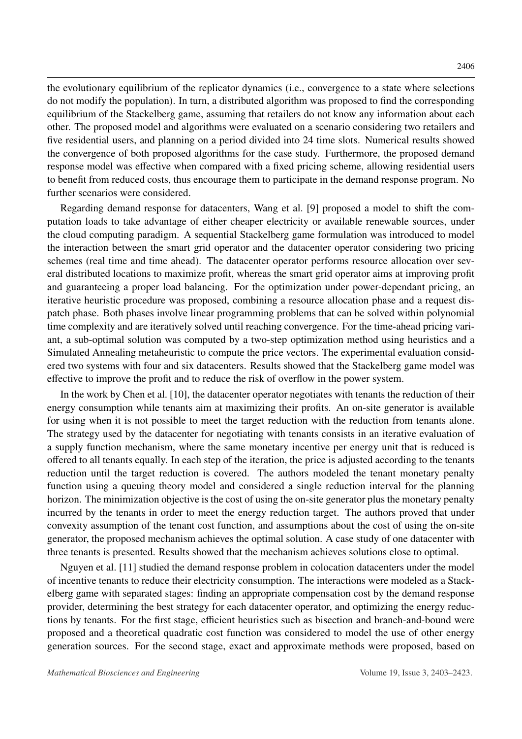the evolutionary equilibrium of the replicator dynamics (i.e., convergence to a state where selections do not modify the population). In turn, a distributed algorithm was proposed to find the corresponding equilibrium of the Stackelberg game, assuming that retailers do not know any information about each other. The proposed model and algorithms were evaluated on a scenario considering two retailers and five residential users, and planning on a period divided into 24 time slots. Numerical results showed the convergence of both proposed algorithms for the case study. Furthermore, the proposed demand response model was effective when compared with a fixed pricing scheme, allowing residential users to benefit from reduced costs, thus encourage them to participate in the demand response program. No further scenarios were considered.

Regarding demand response for datacenters, Wang et al. [\[9\]](#page-18-8) proposed a model to shift the computation loads to take advantage of either cheaper electricity or available renewable sources, under the cloud computing paradigm. A sequential Stackelberg game formulation was introduced to model the interaction between the smart grid operator and the datacenter operator considering two pricing schemes (real time and time ahead). The datacenter operator performs resource allocation over several distributed locations to maximize profit, whereas the smart grid operator aims at improving profit and guaranteeing a proper load balancing. For the optimization under power-dependant pricing, an iterative heuristic procedure was proposed, combining a resource allocation phase and a request dispatch phase. Both phases involve linear programming problems that can be solved within polynomial time complexity and are iteratively solved until reaching convergence. For the time-ahead pricing variant, a sub-optimal solution was computed by a two-step optimization method using heuristics and a Simulated Annealing metaheuristic to compute the price vectors. The experimental evaluation considered two systems with four and six datacenters. Results showed that the Stackelberg game model was effective to improve the profit and to reduce the risk of overflow in the power system.

In the work by Chen et al. [\[10\]](#page-18-9), the datacenter operator negotiates with tenants the reduction of their energy consumption while tenants aim at maximizing their profits. An on-site generator is available for using when it is not possible to meet the target reduction with the reduction from tenants alone. The strategy used by the datacenter for negotiating with tenants consists in an iterative evaluation of a supply function mechanism, where the same monetary incentive per energy unit that is reduced is offered to all tenants equally. In each step of the iteration, the price is adjusted according to the tenants reduction until the target reduction is covered. The authors modeled the tenant monetary penalty function using a queuing theory model and considered a single reduction interval for the planning horizon. The minimization objective is the cost of using the on-site generator plus the monetary penalty incurred by the tenants in order to meet the energy reduction target. The authors proved that under convexity assumption of the tenant cost function, and assumptions about the cost of using the on-site generator, the proposed mechanism achieves the optimal solution. A case study of one datacenter with three tenants is presented. Results showed that the mechanism achieves solutions close to optimal.

Nguyen et al. [\[11\]](#page-18-10) studied the demand response problem in colocation datacenters under the model of incentive tenants to reduce their electricity consumption. The interactions were modeled as a Stackelberg game with separated stages: finding an appropriate compensation cost by the demand response provider, determining the best strategy for each datacenter operator, and optimizing the energy reductions by tenants. For the first stage, efficient heuristics such as bisection and branch-and-bound were proposed and a theoretical quadratic cost function was considered to model the use of other energy generation sources. For the second stage, exact and approximate methods were proposed, based on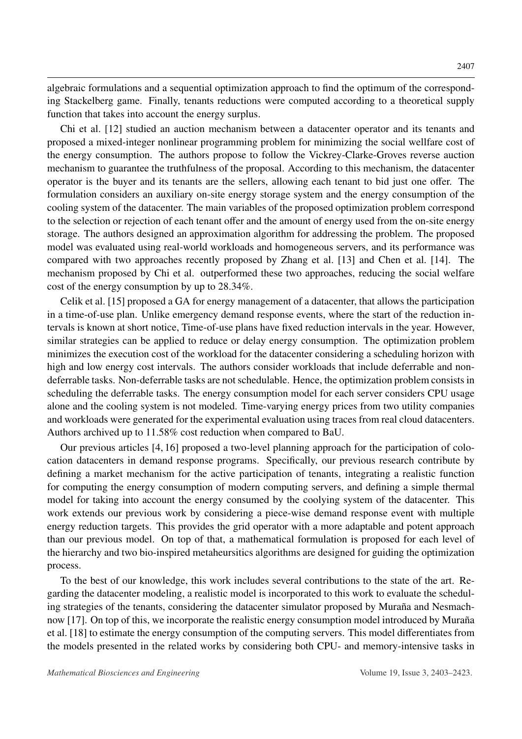algebraic formulations and a sequential optimization approach to find the optimum of the corresponding Stackelberg game. Finally, tenants reductions were computed according to a theoretical supply function that takes into account the energy surplus.

Chi et al. [\[12\]](#page-18-11) studied an auction mechanism between a datacenter operator and its tenants and proposed a mixed-integer nonlinear programming problem for minimizing the social wellfare cost of the energy consumption. The authors propose to follow the Vickrey-Clarke-Groves reverse auction mechanism to guarantee the truthfulness of the proposal. According to this mechanism, the datacenter operator is the buyer and its tenants are the sellers, allowing each tenant to bid just one offer. The formulation considers an auxiliary on-site energy storage system and the energy consumption of the cooling system of the datacenter. The main variables of the proposed optimization problem correspond to the selection or rejection of each tenant offer and the amount of energy used from the on-site energy storage. The authors designed an approximation algorithm for addressing the problem. The proposed model was evaluated using real-world workloads and homogeneous servers, and its performance was compared with two approaches recently proposed by Zhang et al. [\[13\]](#page-18-12) and Chen et al. [\[14\]](#page-19-0). The mechanism proposed by Chi et al. outperformed these two approaches, reducing the social welfare cost of the energy consumption by up to 28.34%.

Celik et al. [\[15\]](#page-19-1) proposed a GA for energy management of a datacenter, that allows the participation in a time-of-use plan. Unlike emergency demand response events, where the start of the reduction intervals is known at short notice, Time-of-use plans have fixed reduction intervals in the year. However, similar strategies can be applied to reduce or delay energy consumption. The optimization problem minimizes the execution cost of the workload for the datacenter considering a scheduling horizon with high and low energy cost intervals. The authors consider workloads that include deferrable and nondeferrable tasks. Non-deferrable tasks are not schedulable. Hence, the optimization problem consists in scheduling the deferrable tasks. The energy consumption model for each server considers CPU usage alone and the cooling system is not modeled. Time-varying energy prices from two utility companies and workloads were generated for the experimental evaluation using traces from real cloud datacenters. Authors archived up to 11.58% cost reduction when compared to BaU.

Our previous articles [\[4,](#page-18-3) [16\]](#page-19-2) proposed a two-level planning approach for the participation of colocation datacenters in demand response programs. Specifically, our previous research contribute by defining a market mechanism for the active participation of tenants, integrating a realistic function for computing the energy consumption of modern computing servers, and defining a simple thermal model for taking into account the energy consumed by the coolying system of the datacenter. This work extends our previous work by considering a piece-wise demand response event with multiple energy reduction targets. This provides the grid operator with a more adaptable and potent approach than our previous model. On top of that, a mathematical formulation is proposed for each level of the hierarchy and two bio-inspired metaheursitics algorithms are designed for guiding the optimization process.

To the best of our knowledge, this work includes several contributions to the state of the art. Regarding the datacenter modeling, a realistic model is incorporated to this work to evaluate the scheduling strategies of the tenants, considering the datacenter simulator proposed by Muraña and Nesmach-now [\[17\]](#page-19-3). On top of this, we incorporate the realistic energy consumption model introduced by Muraña et al. [\[18\]](#page-19-4) to estimate the energy consumption of the computing servers. This model differentiates from the models presented in the related works by considering both CPU- and memory-intensive tasks in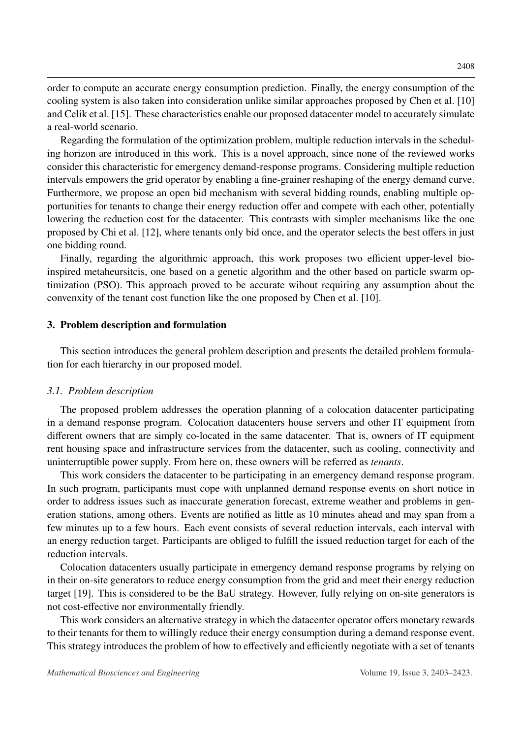order to compute an accurate energy consumption prediction. Finally, the energy consumption of the cooling system is also taken into consideration unlike similar approaches proposed by Chen et al. [\[10\]](#page-18-9) and Celik et al. [\[15\]](#page-19-1). These characteristics enable our proposed datacenter model to accurately simulate a real-world scenario.

Regarding the formulation of the optimization problem, multiple reduction intervals in the scheduling horizon are introduced in this work. This is a novel approach, since none of the reviewed works consider this characteristic for emergency demand-response programs. Considering multiple reduction intervals empowers the grid operator by enabling a fine-grainer reshaping of the energy demand curve. Furthermore, we propose an open bid mechanism with several bidding rounds, enabling multiple opportunities for tenants to change their energy reduction offer and compete with each other, potentially lowering the reduction cost for the datacenter. This contrasts with simpler mechanisms like the one proposed by Chi et al. [\[12\]](#page-18-11), where tenants only bid once, and the operator selects the best offers in just one bidding round.

Finally, regarding the algorithmic approach, this work proposes two efficient upper-level bioinspired metaheursitcis, one based on a genetic algorithm and the other based on particle swarm optimization (PSO). This approach proved to be accurate wihout requiring any assumption about the convenxity of the tenant cost function like the one proposed by Chen et al. [\[10\]](#page-18-9).

#### <span id="page-5-0"></span>3. Problem description and formulation

This section introduces the general problem description and presents the detailed problem formulation for each hierarchy in our proposed model.

#### *3.1. Problem description*

The proposed problem addresses the operation planning of a colocation datacenter participating in a demand response program. Colocation datacenters house servers and other IT equipment from different owners that are simply co-located in the same datacenter. That is, owners of IT equipment rent housing space and infrastructure services from the datacenter, such as cooling, connectivity and uninterruptible power supply. From here on, these owners will be referred as *tenants*.

This work considers the datacenter to be participating in an emergency demand response program. In such program, participants must cope with unplanned demand response events on short notice in order to address issues such as inaccurate generation forecast, extreme weather and problems in generation stations, among others. Events are notified as little as 10 minutes ahead and may span from a few minutes up to a few hours. Each event consists of several reduction intervals, each interval with an energy reduction target. Participants are obliged to fulfill the issued reduction target for each of the reduction intervals.

Colocation datacenters usually participate in emergency demand response programs by relying on in their on-site generators to reduce energy consumption from the grid and meet their energy reduction target [\[19\]](#page-19-5). This is considered to be the BaU strategy. However, fully relying on on-site generators is not cost-effective nor environmentally friendly.

This work considers an alternative strategy in which the datacenter operator offers monetary rewards to their tenants for them to willingly reduce their energy consumption during a demand response event. This strategy introduces the problem of how to effectively and efficiently negotiate with a set of tenants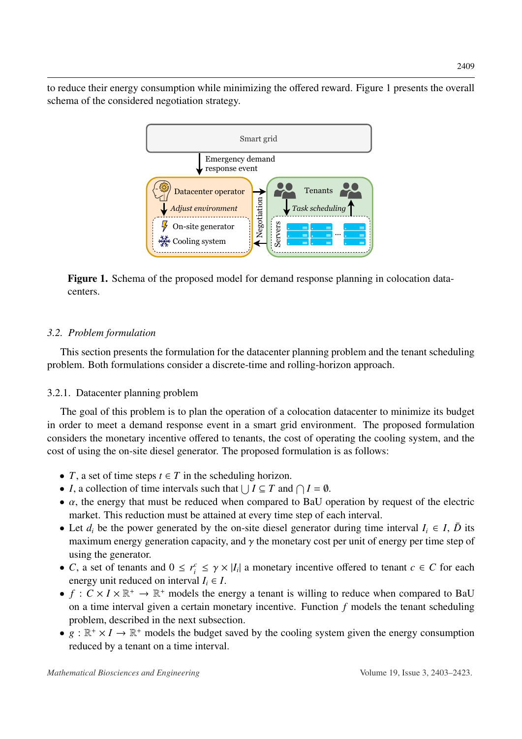<span id="page-6-0"></span>to reduce their energy consumption while minimizing the offered reward. Figure [1](#page-6-0) presents the overall schema of the considered negotiation strategy.



Figure 1. Schema of the proposed model for demand response planning in colocation datacenters.

# *3.2. Problem formulation*

This section presents the formulation for the datacenter planning problem and the tenant scheduling problem. Both formulations consider a discrete-time and rolling-horizon approach.

# 3.2.1. Datacenter planning problem

The goal of this problem is to plan the operation of a colocation datacenter to minimize its budget in order to meet a demand response event in a smart grid environment. The proposed formulation considers the monetary incentive offered to tenants, the cost of operating the cooling system, and the cost of using the on-site diesel generator. The proposed formulation is as follows:

- *T*, a set of time steps  $t \in T$  in the scheduling horizon.
- *I*, a collection of time intervals such that  $\bigcup I \subseteq T$  and  $\bigcap I = \emptyset$ .
- $\alpha$ , the energy that must be reduced when compared to BaU operation by request of the electric market. This reduction must be attained at every time step of each interval.
- Let  $d_i$  be the power generated by the on-site diesel generator during time interval  $I_i \in I$ ,  $\bar{D}$  its maximum energy generation capacity, and  $\gamma$  the monetary cost per unit of energy per time step of using the generator.
- *C*, a set of tenants and  $0 \le r_i^c \le \gamma \times |I_i|$  a monetary incentive offered to tenant  $c \in C$  for each energy unit reduced on interval  $I \subset I$ energy unit reduced on interval  $I_i \in I$ .
- $f: C \times I \times \mathbb{R}^+ \to \mathbb{R}^+$  models the energy a tenant is willing to reduce when compared to BaU on a time interval given a certain monetary incentive. Function *f* models the tenant scheduling problem, described in the next subsection.
- $g : \mathbb{R}^+ \times I \to \mathbb{R}^+$  models the budget saved by the cooling system given the energy consumption reduced by a tenant on a time interval.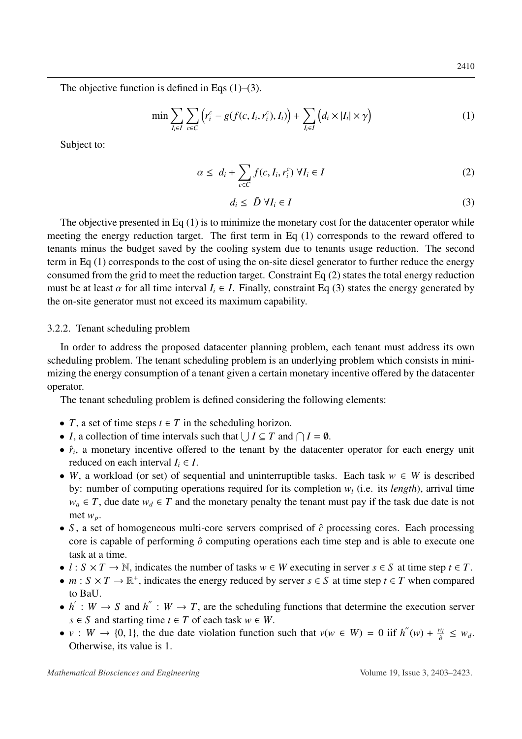The objective function is defined in Eqs  $(1)$ – $(3)$ .

<span id="page-7-0"></span>
$$
\min \sum_{I_i \in I} \sum_{c \in C} \left( r_i^c - g(f(c, I_i, r_i^c), I_i) \right) + \sum_{I_i \in I} \left( d_i \times |I_i| \times \gamma \right) \tag{1}
$$

Subject to:

<span id="page-7-2"></span>
$$
\alpha \leq d_i + \sum_{c \in C} f(c, I_i, r_i^c) \ \forall I_i \in I
$$

<span id="page-7-1"></span>
$$
d_i \leq \bar{D} \ \forall I_i \in I \tag{3}
$$

The objective presented in Eq  $(1)$  is to minimize the monetary cost for the datacenter operator while meeting the energy reduction target. The first term in Eq [\(1\)](#page-7-0) corresponds to the reward offered to tenants minus the budget saved by the cooling system due to tenants usage reduction. The second term in Eq [\(1\)](#page-7-0) corresponds to the cost of using the on-site diesel generator to further reduce the energy consumed from the grid to meet the reduction target. Constraint Eq [\(2\)](#page-7-2) states the total energy reduction must be at least  $\alpha$  for all time interval  $I_i \in I$ . Finally, constraint Eq [\(3\)](#page-7-1) states the energy generated by the on-site generator must not exceed its maximum capability.

#### 3.2.2. Tenant scheduling problem

In order to address the proposed datacenter planning problem, each tenant must address its own scheduling problem. The tenant scheduling problem is an underlying problem which consists in minimizing the energy consumption of a tenant given a certain monetary incentive offered by the datacenter operator.

The tenant scheduling problem is defined considering the following elements:

- *T*, a set of time steps  $t \in T$  in the scheduling horizon.
- *I*, a collection of time intervals such that  $\bigcup I \subseteq T$  and  $\bigcap I = \emptyset$ .
- $\hat{r}_i$ , a monetary incentive offered to the tenant by the datacenter operator for each energy unit reduced on each interval  $I_i \in I$ .
- *W*, a workload (or set) of sequential and uninterruptible tasks. Each task *w* ∈ *W* is described by: number of computing operations required for its completion *w<sup>l</sup>* (i.e. its *length*), arrival time  $w_a \in T$ , due date  $w_d \in T$  and the monetary penalty the tenant must pay if the task due date is not met *wp*.
- *S*, a set of homogeneous multi-core servers comprised of  $\hat{c}$  processing cores. Each processing core is capable of performing  $\hat{o}$  computing operations each time step and is able to execute one task at a time.
- $l : S \times T \to \mathbb{N}$ , indicates the number of tasks  $w \in W$  executing in server  $s \in S$  at time step  $t \in T$ .
- $m : S \times T \to \mathbb{R}^+$ , indicates the energy reduced by server  $s \in S$  at time step  $t \in T$  when compared to BaU.
- $h': W \to S$  and  $h'': W \to T$ , are the scheduling functions that determine the execution server *s* ∈ *S* and starting time *t* ∈ *T* of each task  $w ∈ W$ .
- *v* : *W*  $\rightarrow$  {0, 1}, the due date violation function such that  $v(w \in W) = 0$  iif  $h''(w) + \frac{w_i}{\delta}$ <br>Otherwise its value is 1  $\frac{w_l}{\hat{o}} \leq w_d$ . Otherwise, its value is 1.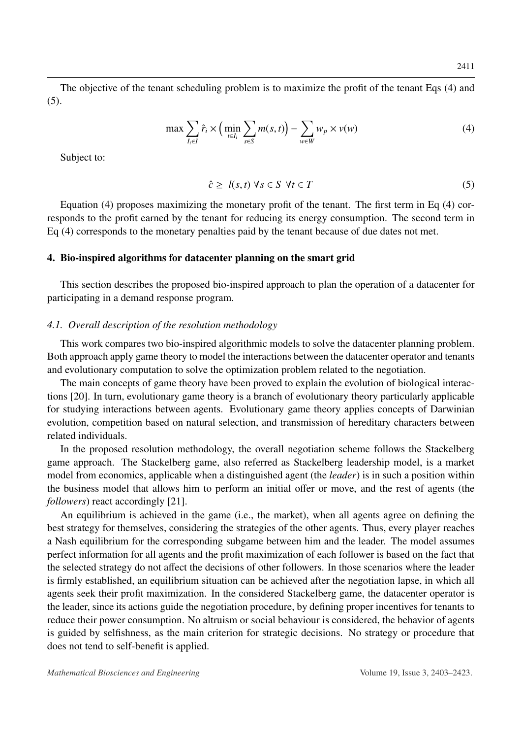The objective of the tenant scheduling problem is to maximize the profit of the tenant Eqs [\(4\)](#page-8-1) and [\(5\)](#page-8-2).

<span id="page-8-1"></span>
$$
\max \sum_{I_i \in I} \hat{r}_i \times \left( \min_{t \in I_i} \sum_{s \in S} m(s, t) \right) - \sum_{w \in W} w_p \times v(w) \tag{4}
$$

Subject to:

<span id="page-8-2"></span>
$$
\hat{c} \ge l(s, t) \,\forall s \in S \,\forall t \in T \tag{5}
$$

Equation [\(4\)](#page-8-1) proposes maximizing the monetary profit of the tenant. The first term in Eq [\(4\)](#page-8-1) corresponds to the profit earned by the tenant for reducing its energy consumption. The second term in Eq [\(4\)](#page-8-1) corresponds to the monetary penalties paid by the tenant because of due dates not met.

#### <span id="page-8-0"></span>4. Bio-inspired algorithms for datacenter planning on the smart grid

This section describes the proposed bio-inspired approach to plan the operation of a datacenter for participating in a demand response program.

#### *4.1. Overall description of the resolution methodology*

This work compares two bio-inspired algorithmic models to solve the datacenter planning problem. Both approach apply game theory to model the interactions between the datacenter operator and tenants and evolutionary computation to solve the optimization problem related to the negotiation.

The main concepts of game theory have been proved to explain the evolution of biological interactions [\[20\]](#page-19-6). In turn, evolutionary game theory is a branch of evolutionary theory particularly applicable for studying interactions between agents. Evolutionary game theory applies concepts of Darwinian evolution, competition based on natural selection, and transmission of hereditary characters between related individuals.

In the proposed resolution methodology, the overall negotiation scheme follows the Stackelberg game approach. The Stackelberg game, also referred as Stackelberg leadership model, is a market model from economics, applicable when a distinguished agent (the *leader*) is in such a position within the business model that allows him to perform an initial offer or move, and the rest of agents (the *followers*) react accordingly [\[21\]](#page-19-7).

An equilibrium is achieved in the game (i.e., the market), when all agents agree on defining the best strategy for themselves, considering the strategies of the other agents. Thus, every player reaches a Nash equilibrium for the corresponding subgame between him and the leader. The model assumes perfect information for all agents and the profit maximization of each follower is based on the fact that the selected strategy do not affect the decisions of other followers. In those scenarios where the leader is firmly established, an equilibrium situation can be achieved after the negotiation lapse, in which all agents seek their profit maximization. In the considered Stackelberg game, the datacenter operator is the leader, since its actions guide the negotiation procedure, by defining proper incentives for tenants to reduce their power consumption. No altruism or social behaviour is considered, the behavior of agents is guided by selfishness, as the main criterion for strategic decisions. No strategy or procedure that does not tend to self-benefit is applied.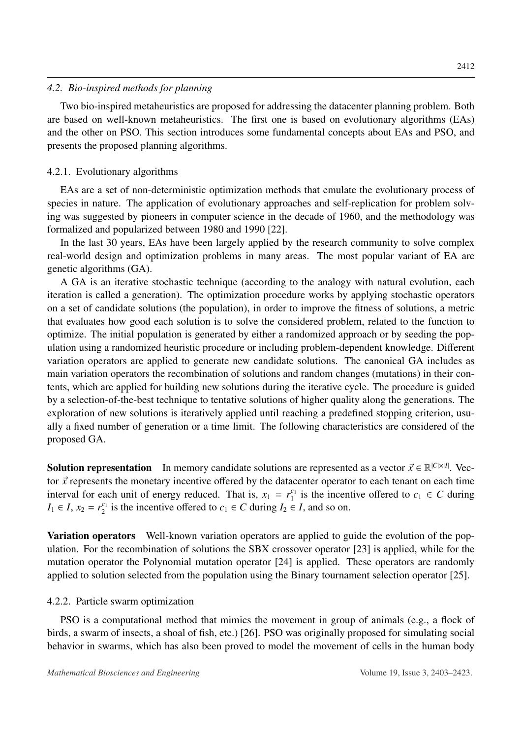#### *4.2. Bio-inspired methods for planning*

Two bio-inspired metaheuristics are proposed for addressing the datacenter planning problem. Both are based on well-known metaheuristics. The first one is based on evolutionary algorithms (EAs) and the other on PSO. This section introduces some fundamental concepts about EAs and PSO, and presents the proposed planning algorithms.

# 4.2.1. Evolutionary algorithms

EAs are a set of non-deterministic optimization methods that emulate the evolutionary process of species in nature. The application of evolutionary approaches and self-replication for problem solving was suggested by pioneers in computer science in the decade of 1960, and the methodology was formalized and popularized between 1980 and 1990 [\[22\]](#page-19-8).

In the last 30 years, EAs have been largely applied by the research community to solve complex real-world design and optimization problems in many areas. The most popular variant of EA are genetic algorithms (GA).

A GA is an iterative stochastic technique (according to the analogy with natural evolution, each iteration is called a generation). The optimization procedure works by applying stochastic operators on a set of candidate solutions (the population), in order to improve the fitness of solutions, a metric that evaluates how good each solution is to solve the considered problem, related to the function to optimize. The initial population is generated by either a randomized approach or by seeding the population using a randomized heuristic procedure or including problem-dependent knowledge. Different variation operators are applied to generate new candidate solutions. The canonical GA includes as main variation operators the recombination of solutions and random changes (mutations) in their contents, which are applied for building new solutions during the iterative cycle. The procedure is guided by a selection-of-the-best technique to tentative solutions of higher quality along the generations. The exploration of new solutions is iteratively applied until reaching a predefined stopping criterion, usually a fixed number of generation or a time limit. The following characteristics are considered of the proposed GA.

**Solution representation** In memory candidate solutions are represented as a vector  $\vec{x} \in \mathbb{R}^{|C| \times |I|}$ . Vector  $\vec{x}$  represents the monetary incentive offered by the detector contractor to each tenant on each time tor  $\vec{x}$  represents the monetary incentive offered by the datacenter operator to each tenant on each time interval for each unit of energy reduced. That is,  $x_1 = r_1^{c_1}$  $\frac{c_1}{1}$  is the incentive offered to  $c_1 \in C$  during  $I_1 \in I$ ,  $x_2 = r_2^{c_1}$  $\frac{c_1}{2}$  is the incentive offered to  $c_1 \in C$  during  $I_2 \in I$ , and so on.

Variation operators Well-known variation operators are applied to guide the evolution of the population. For the recombination of solutions the SBX crossover operator [\[23\]](#page-19-9) is applied, while for the mutation operator the Polynomial mutation operator [\[24\]](#page-19-10) is applied. These operators are randomly applied to solution selected from the population using the Binary tournament selection operator [\[25\]](#page-19-11).

## 4.2.2. Particle swarm optimization

PSO is a computational method that mimics the movement in group of animals (e.g., a flock of birds, a swarm of insects, a shoal of fish, etc.) [\[26\]](#page-19-12). PSO was originally proposed for simulating social behavior in swarms, which has also been proved to model the movement of cells in the human body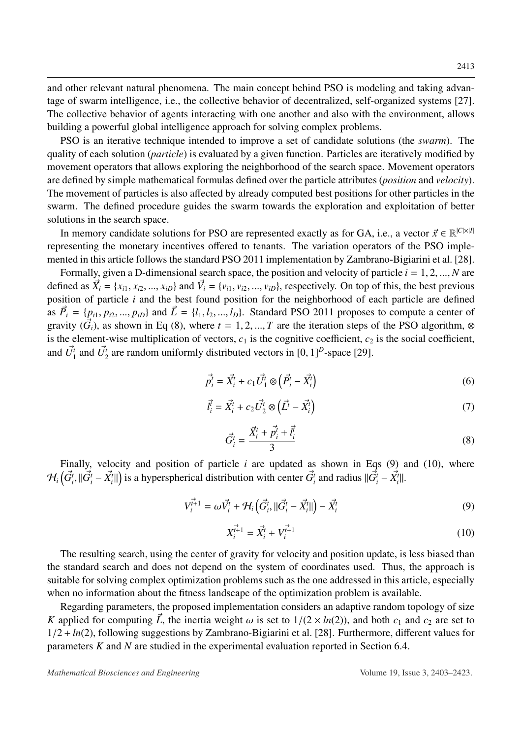and other relevant natural phenomena. The main concept behind PSO is modeling and taking advantage of swarm intelligence, i.e., the collective behavior of decentralized, self-organized systems [\[27\]](#page-19-13). The collective behavior of agents interacting with one another and also with the environment, allows building a powerful global intelligence approach for solving complex problems.

PSO is an iterative technique intended to improve a set of candidate solutions (the *swarm*). The quality of each solution (*particle*) is evaluated by a given function. Particles are iteratively modified by movement operators that allows exploring the neighborhood of the search space. Movement operators are defined by simple mathematical formulas defined over the particle attributes (*position* and *velocity*). The movement of particles is also affected by already computed best positions for other particles in the swarm. The defined procedure guides the swarm towards the exploration and exploitation of better solutions in the search space.

In memory candidate solutions for PSO are represented exactly as for GA, i.e., a vector  $\vec{x} \in \mathbb{R}^{|C| \times |I|}$ <br>resenting the monetary incentives offered to tenants. The variation operators of the PSO imple representing the monetary incentives offered to tenants. The variation operators of the PSO implemented in this article follows the standard PSO 2011 implementation by Zambrano-Bigiarini et al. [\[28\]](#page-19-14).

Formally, given a D-dimensional search space, the position and velocity of particle *<sup>i</sup>* <sup>=</sup> <sup>1</sup>, <sup>2</sup>, ..., *<sup>N</sup>* are defined as  $\vec{X}_i = \{x_{i1}, x_{i2}, ..., x_{iD}\}\$ and  $\vec{V}_i = \{v_{i1}, v_{i2}, ..., v_{iD}\}\$ , respectively. On top of this, the best previous position of particle *i* and the best found position for the neighborhood of each particle are defined as  $\vec{P}_i = \{p_{i1}, p_{i2}, ..., p_{iD}\}\$  and  $\vec{L} = \{l_1, l_2, ..., l_D\}\$ . Standard PSO 2011 proposes to compute a center of gravity  $(\vec{G}_i)$ , as shown in Eq [\(8\)](#page-10-0), where  $t = 1, 2, ..., T$  are the iteration steps of the PSO algorithm, ⊗ is the element-wise multiplication of vectors,  $c_1$  is the cognitive coefficient,  $c_2$  is the social coefficient, and  $\vec{U}_1^t$  and  $\vec{U}_2^t$  are random uniformly distributed vectors in  $[0, 1]^D$ -space  $[29]$ .

$$
\vec{p}_i^t = \vec{X}_i^t + c_1 \vec{U}_1^t \otimes (\vec{P}_i^t - \vec{X}_i^t)
$$
 (6)

$$
\vec{l}_i^{\dagger} = \vec{X}_i^t + c_2 \vec{U}_2^t \otimes (\vec{L}^t - \vec{X}_i^t)
$$
\n<sup>(7)</sup>

<span id="page-10-0"></span>
$$
\vec{G}_i^t = \frac{\vec{X}_i^t + \vec{p}_i^t + \vec{l}_i^t}{3} \tag{8}
$$

Finally, velocity and position of particle *i* are updated as shown in Eqs [\(9\)](#page-10-1) and [\(10\)](#page-10-2), where  $\mathcal{H}_i\left(\vec{G}_i^t, ||\vec{G}_i^t - \vec{X}_i^t||\right)$  is a hyperspherical distribution with center  $\vec{G}_i^t$  and radius  $||\vec{G}_i^t - \vec{X}_i^t||$ .

<span id="page-10-1"></span>
$$
V_i^{\vec{t}+1} = \omega \vec{V}_i^t + \mathcal{H}_i \left( \vec{G}_i^t, \|\vec{G}_i^t - \vec{X}_i^t\| \right) - \vec{X}_i^t \tag{9}
$$

<span id="page-10-2"></span>
$$
X_i^{\vec{r}+1} = \vec{X}_i^t + V_i^{\vec{r}+1}
$$
 (10)

The resulting search, using the center of gravity for velocity and position update, is less biased than the standard search and does not depend on the system of coordinates used. Thus, the approach is suitable for solving complex optimization problems such as the one addressed in this article, especially when no information about the fitness landscape of the optimization problem is available.

Regarding parameters, the proposed implementation considers an adaptive random topology of size *K* applied for computing  $\vec{L}$ , the inertia weight  $\omega$  is set to  $1/(2 \times ln(2))$ , and both  $c_1$  and  $c_2$  are set to <sup>1</sup>/<sup>2</sup> <sup>+</sup> *ln*(2), following suggestions by Zambrano-Bigiarini et al. [\[28\]](#page-19-14). Furthermore, different values for parameters *K* and *N* are studied in the experimental evaluation reported in Section [6.4.](#page-14-0)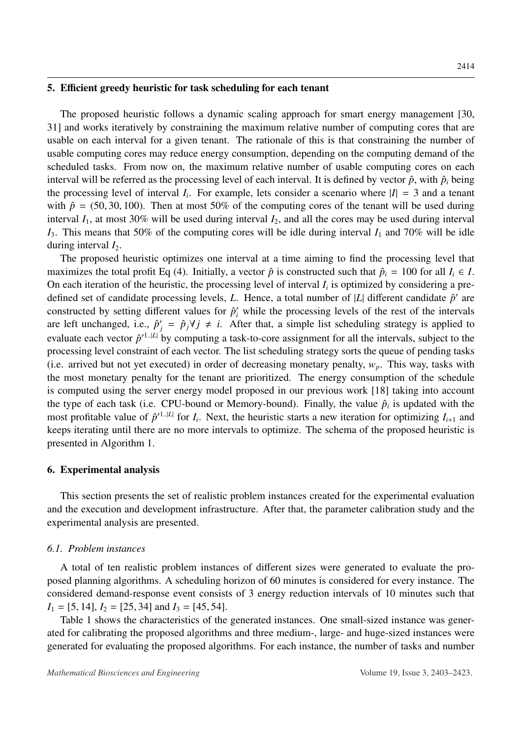# <span id="page-11-0"></span>5. Efficient greedy heuristic for task scheduling for each tenant

The proposed heuristic follows a dynamic scaling approach for smart energy management [\[30,](#page-20-0) [31\]](#page-20-1) and works iteratively by constraining the maximum relative number of computing cores that are usable on each interval for a given tenant. The rationale of this is that constraining the number of usable computing cores may reduce energy consumption, depending on the computing demand of the scheduled tasks. From now on, the maximum relative number of usable computing cores on each interval will be referred as the processing level of each interval. It is defined by vector  $\hat{p}$ , with  $\hat{p}_i$  being the processing level of interval  $I_i$ . For example, lets consider a scenario where  $|I| = 3$  and a tenant with  $\hat{p} = (50, 30, 100)$ . Then at most 50% of the computing cores of the tenant will be used during interval  $I_1$ , at most 30% will be used during interval  $I_2$ , and all the cores may be used during interval  $I_3$ . This means that 50% of the computing cores will be idle during interval  $I_1$  and 70% will be idle during interval  $I_2$ .

The proposed heuristic optimizes one interval at a time aiming to find the processing level that maximizes the total profit Eq [\(4\)](#page-8-1). Initially, a vector  $\hat{p}$  is constructed such that  $\hat{p}_i = 100$  for all  $I_i \in I$ . On each iteration of the heuristic, the processing level of interval  $I_i$  is optimized by considering a predefined set of candidate processing levels, *L*. Hence, a total number of  $|L|$  different candidate  $\hat{p}'$  are constructed by setting different values for  $\hat{p}'_i$  while the processing levels of the rest of the intervals are left unchanged, i.e.,  $\hat{p}'_j = \hat{p}_j \forall j \neq i$ . After that, a simple list scheduling strategy is applied to evaluate each vector  $\hat{p}'^{1..|L|}$  by computing a task-to-core assignment for all the intervals, subject to the processing level constraint of each vector. The list scheduling strategy sorts the queue of pending tasks (i.e. arrived but not yet executed) in order of decreasing monetary penalty,  $w_p$ . This way, tasks with the most monetary penalty for the tenant are prioritized. The energy consumption of the schedule is computed using the server energy model proposed in our previous work [\[18\]](#page-19-4) taking into account the type of each task (i.e. CPU-bound or Memory-bound). Finally, the value  $\hat{p}_i$  is updated with the most profitable value of  $\hat{p}'^{1..|L|}$  for  $I_i$ . Next, the heuristic starts a new iteration for optimizing  $I_{i+1}$  and keeps iterating until there are no more intervals to optimize. The schema of the proposed heuristic is presented in Algorithm [1.](#page-12-0)

## <span id="page-11-1"></span>6. Experimental analysis

This section presents the set of realistic problem instances created for the experimental evaluation and the execution and development infrastructure. After that, the parameter calibration study and the experimental analysis are presented.

## *6.1. Problem instances*

A total of ten realistic problem instances of different sizes were generated to evaluate the proposed planning algorithms. A scheduling horizon of 60 minutes is considered for every instance. The considered demand-response event consists of 3 energy reduction intervals of 10 minutes such that  $I_1 = [5, 14]$ ,  $I_2 = [25, 34]$  and  $I_3 = [45, 54]$ .

Table [1](#page-12-1) shows the characteristics of the generated instances. One small-sized instance was generated for calibrating the proposed algorithms and three medium-, large- and huge-sized instances were generated for evaluating the proposed algorithms. For each instance, the number of tasks and number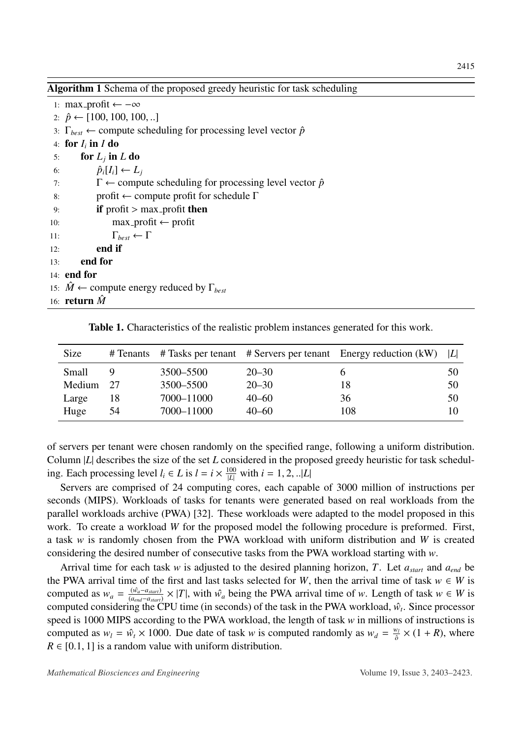<span id="page-12-0"></span>Algorithm 1 Schema of the proposed greedy heuristic for task scheduling

1: max\_profit ←  $-\infty$ 2:  $\hat{p}$  ← [100, 100, 100, ..] 3:  $\Gamma_{best} \leftarrow$  compute scheduling for processing level vector  $\hat{p}$ 4: for *I<sup>i</sup>* in *I* do 5: **for**  $L_j$  in  $L$  do 6:  $\hat{p}_i[I_i] \leftarrow L_i$ 7:  $\Gamma \leftarrow$  compute scheduling for processing level vector  $\hat{p}$ 8: profit  $\leftarrow$  compute profit for schedule  $\Gamma$ 9: **if** profit > max\_profit **then**<br>10: **max\_profit**  $\leftarrow$  profit  $max\_profit \leftarrow profit$ 11:  $\Gamma_{best} \leftarrow \Gamma$  $12:$  end if 13: end for 14: end for 15:  $\hat{M} \leftarrow$  compute energy reduced by  $\Gamma_{best}$ 16: **return**  $\hat{M}$ 

Table 1. Characteristics of the realistic problem instances generated for this work.

<span id="page-12-1"></span>

| Size   |    |            |           | # Tenants # Tasks per tenant # Servers per tenant Energy reduction (kW) | ΙLΙ |
|--------|----|------------|-----------|-------------------------------------------------------------------------|-----|
| Small  |    | 3500-5500  | $20 - 30$ |                                                                         | 50  |
| Medium | 27 | 3500-5500  | $20 - 30$ | 18                                                                      | 50  |
| Large  | 18 | 7000-11000 | $40 - 60$ | 36                                                                      | 50  |
| Huge   | 54 | 7000-11000 | $40 - 60$ | 108                                                                     | 10  |

of servers per tenant were chosen randomly on the specified range, following a uniform distribution. Column |*L*| describes the size of the set *L* considered in the proposed greedy heuristic for task scheduling. Each processing level  $l_i \in L$  is  $l = i \times \frac{100}{|L|}$  with  $i = 1, 2, ...|L|$ 

Servers are comprised of 24 computing cores, each capable of 3000 million of instructions per seconds (MIPS). Workloads of tasks for tenants were generated based on real workloads from the parallel workloads archive (PWA) [\[32\]](#page-20-2). These workloads were adapted to the model proposed in this work. To create a workload *W* for the proposed model the following procedure is preformed. First, a task *w* is randomly chosen from the PWA workload with uniform distribution and *W* is created considering the desired number of consecutive tasks from the PWA workload starting with *w*.

Arrival time for each task *w* is adjusted to the desired planning horizon, *T*. Let  $a_{start}$  and  $a_{end}$  be the PWA arrival time of the first and last tasks selected for *W*, then the arrival time of task  $w \in W$  is computed as  $w_a = \frac{(\hat{w}_a - a_{start})}{(a_{end}-a_{start})}$  $\frac{(w_a-a_{start})}{(a_{end}-a_{start})}$  × |*T*|, with  $\hat{w}_a$  being the PWA arrival time of *w*. Length of task  $w \in W$  is computed considering the CPU time (in seconds) of the task in the PWA workload,  $\hat{w}_t$ . Since processor speed is 1000 MIPS according to the PWA workload, the length of task *w* in millions of instructions is computed as  $w_l = \hat{w}_t \times 1000$ . Due date of task *w* is computed randomly as  $w_d = \frac{w_l}{\delta}$  $\frac{w_l}{\delta} \times (1 + R)$ , where  $R \in [0.1, 1]$  is a random value with uniform distribution.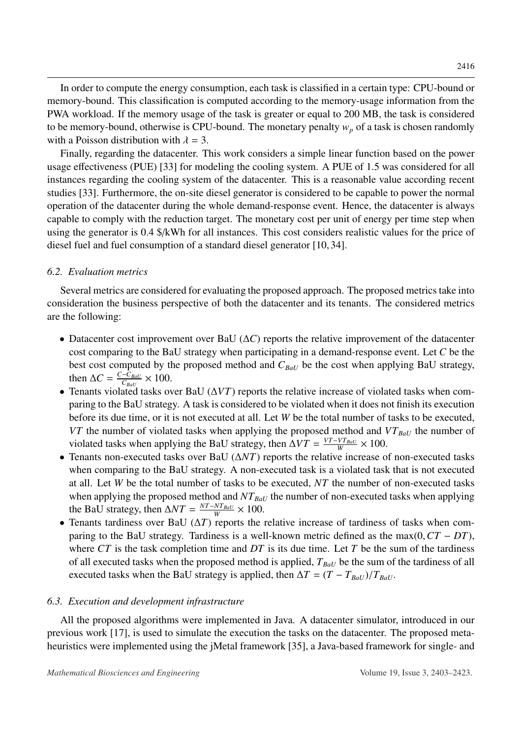In order to compute the energy consumption, each task is classified in a certain type: CPU-bound or

memory-bound. This classification is computed according to the memory-usage information from the PWA workload. If the memory usage of the task is greater or equal to 200 MB, the task is considered to be memory-bound, otherwise is CPU-bound. The monetary penalty  $w_p$  of a task is chosen randomly with a Poisson distribution with  $\lambda = 3$ .

Finally, regarding the datacenter. This work considers a simple linear function based on the power usage effectiveness (PUE) [\[33\]](#page-20-3) for modeling the cooling system. A PUE of 1.5 was considered for all instances regarding the cooling system of the datacenter. This is a reasonable value according recent studies [\[33\]](#page-20-3). Furthermore, the on-site diesel generator is considered to be capable to power the normal operation of the datacenter during the whole demand-response event. Hence, the datacenter is always capable to comply with the reduction target. The monetary cost per unit of energy per time step when using the generator is 0.4 \$/kWh for all instances. This cost considers realistic values for the price of diesel fuel and fuel consumption of a standard diesel generator [\[10,](#page-18-9) [34\]](#page-20-4).

# *6.2. Evaluation metrics*

Several metrics are considered for evaluating the proposed approach. The proposed metrics take into consideration the business perspective of both the datacenter and its tenants. The considered metrics are the following:

- Datacenter cost improvement over BaU (∆*C*) reports the relative improvement of the datacenter cost comparing to the BaU strategy when participating in a demand-response event. Let *C* be the best cost computed by the proposed method and  $C_{BaU}$  be the cost when applying BaU strategy, then  $\Delta C = \frac{C - C_{BaU}}{C_{BU}}$  $\frac{-C_{BaU}}{C_{BaU}} \times 100.$
- Tenants violated tasks over BaU (∆*VT*) reports the relative increase of violated tasks when comparing to the BaU strategy. A task is considered to be violated when it does not finish its execution before its due time, or it is not executed at all. Let *W* be the total number of tasks to be executed, *VT* the number of violated tasks when applying the proposed method and *VT*<sub>*BaU*</sub> the number of violated tasks when applying the BaU strategy, then  $\Delta VT = \frac{VT - VT_{BaU}}{W}$  $\frac{V T_{BaU}}{W} \times 100.$
- Tenants non-executed tasks over BaU (∆*NT*) reports the relative increase of non-executed tasks when comparing to the BaU strategy. A non-executed task is a violated task that is not executed at all. Let *W* be the total number of tasks to be executed, *NT* the number of non-executed tasks when applying the proposed method and  $NT_{BaU}$  the number of non-executed tasks when applying the BaU strategy, then  $\Delta NT = \frac{NT - NT_{BaU}}{W}$  $\frac{N T_{BaU}}{W} \times 100.$
- Tenants tardiness over BaU (∆*T*) reports the relative increase of tardiness of tasks when comparing to the BaU strategy. Tardiness is a well-known metric defined as the max(0,*CT* <sup>−</sup> *DT*), where *CT* is the task completion time and *DT* is its due time. Let *T* be the sum of the tardiness of all executed tasks when the proposed method is applied, *TBaU* be the sum of the tardiness of all executed tasks when the BaU strategy is applied, then  $\Delta T = (T - T_{BaU})/T_{BaU}$ .

# *6.3. Execution and development infrastructure*

All the proposed algorithms were implemented in Java. A datacenter simulator, introduced in our previous work [\[17\]](#page-19-3), is used to simulate the execution the tasks on the datacenter. The proposed metaheuristics were implemented using the jMetal framework [\[35\]](#page-20-5), a Java-based framework for single- and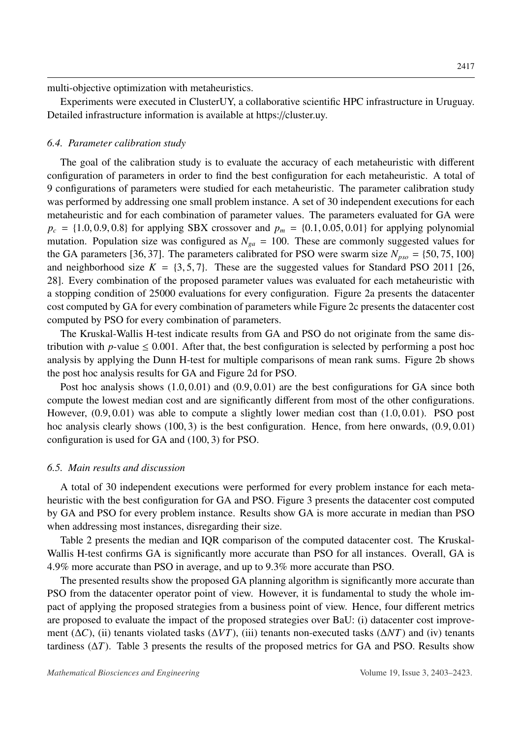multi-objective optimization with metaheuristics.

Experiments were executed in ClusterUY, a collaborative scientific HPC infrastructure in Uruguay. Detailed infrastructure information is available at https://cluster.uy.

#### <span id="page-14-0"></span>*6.4. Parameter calibration study*

The goal of the calibration study is to evaluate the accuracy of each metaheuristic with different configuration of parameters in order to find the best configuration for each metaheuristic. A total of 9 configurations of parameters were studied for each metaheuristic. The parameter calibration study was performed by addressing one small problem instance. A set of 30 independent executions for each metaheuristic and for each combination of parameter values. The parameters evaluated for GA were  $p_c = \{1.0, 0.9, 0.8\}$  for applying SBX crossover and  $p_m = \{0.1, 0.05, 0.01\}$  for applying polynomial mutation. Population size was configured as  $N_{ga} = 100$ . These are commonly suggested values for the GA parameters [\[36,](#page-20-6) [37\]](#page-20-7). The parameters calibrated for PSO were swarm size  $N_{pso} = \{50, 75, 100\}$ and neighborhood size  $K = \{3, 5, 7\}$ . These are the suggested values for Standard PSO 2011 [\[26,](#page-19-12) [28\]](#page-19-14). Every combination of the proposed parameter values was evaluated for each metaheuristic with a stopping condition of 25000 evaluations for every configuration. Figure [2a](#page-15-0) presents the datacenter cost computed by GA for every combination of parameters while Figure [2c](#page-15-0) presents the datacenter cost computed by PSO for every combination of parameters.

The Kruskal-Wallis H-test indicate results from GA and PSO do not originate from the same distribution with *p*-value  $\leq 0.001$ . After that, the best configuration is selected by performing a post hoc analysis by applying the Dunn H-test for multiple comparisons of mean rank sums. Figure [2b](#page-15-0) shows the post hoc analysis results for GA and Figure [2d](#page-15-0) for PSO.

Post hoc analysis shows  $(1.0, 0.01)$  and  $(0.9, 0.01)$  are the best configurations for GA since both compute the lowest median cost and are significantly different from most of the other configurations. However, (0.9, <sup>0</sup>.01) was able to compute a slightly lower median cost than (1.0, <sup>0</sup>.01). PSO post hoc analysis clearly shows (100, 3) is the best configuration. Hence, from here onwards, (0.9, 0.01) configuration is used for GA and (100, 3) for PSO.

#### *6.5. Main results and discussion*

A total of 30 independent executions were performed for every problem instance for each metaheuristic with the best configuration for GA and PSO. Figure [3](#page-15-1) presents the datacenter cost computed by GA and PSO for every problem instance. Results show GA is more accurate in median than PSO when addressing most instances, disregarding their size.

Table [2](#page-16-1) presents the median and IQR comparison of the computed datacenter cost. The Kruskal-Wallis H-test confirms GA is significantly more accurate than PSO for all instances. Overall, GA is <sup>4</sup>.9% more accurate than PSO in average, and up to 9.3% more accurate than PSO.

The presented results show the proposed GA planning algorithm is significantly more accurate than PSO from the datacenter operator point of view. However, it is fundamental to study the whole impact of applying the proposed strategies from a business point of view. Hence, four different metrics are proposed to evaluate the impact of the proposed strategies over BaU: (i) datacenter cost improvement (∆*C*), (ii) tenants violated tasks (∆*VT*), (iii) tenants non-executed tasks (∆*NT*) and (iv) tenants tardiness (∆*T*). Table [3](#page-17-0) presents the results of the proposed metrics for GA and PSO. Results show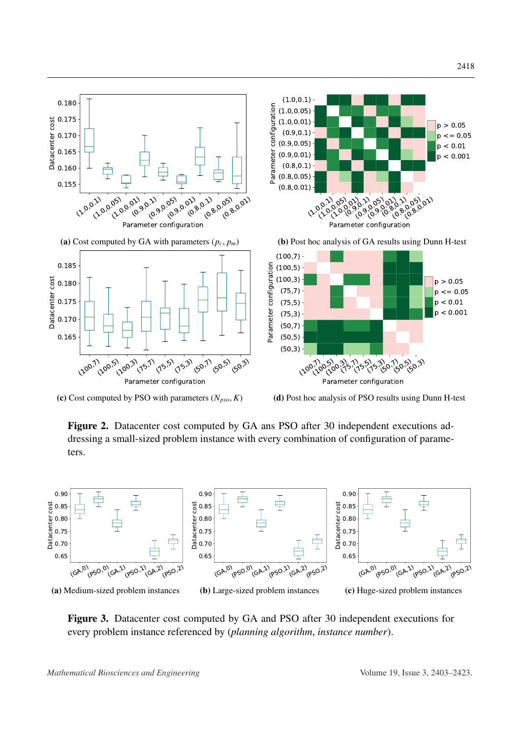<span id="page-15-0"></span>

(c) Cost computed by PSO with parameters  $(N_{pso}, K)$ 

(d) Post hoc analysis of PSO results using Dunn H-test

Figure 2. Datacenter cost computed by GA ans PSO after 30 independent executions addressing a small-sized problem instance with every combination of configuration of parameters.

<span id="page-15-1"></span>

Figure 3. Datacenter cost computed by GA and PSO after 30 independent executions for every problem instance referenced by (*planning algorithm*, *instance number*).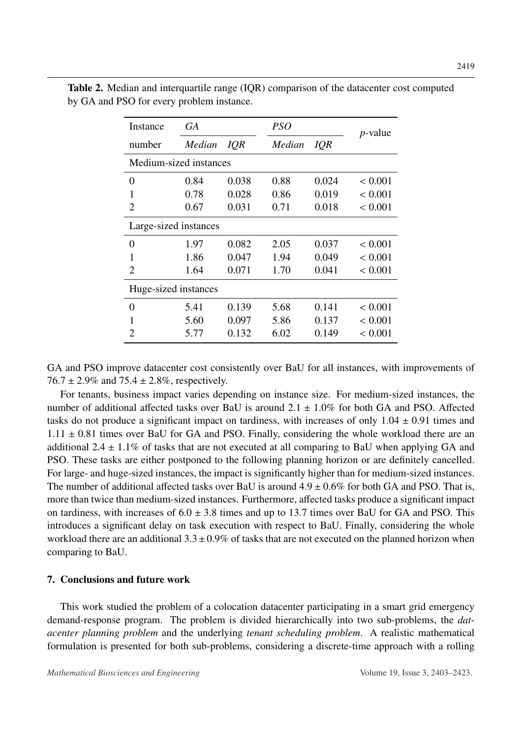| Instance               | GA     |       | <i>PSO</i> |       | <i>p</i> -value |  |  |  |
|------------------------|--------|-------|------------|-------|-----------------|--|--|--|
| number                 | Median | IQR   | Median     | IQR   |                 |  |  |  |
| Medium-sized instances |        |       |            |       |                 |  |  |  |
| 0                      | 0.84   | 0.038 | 0.88       | 0.024 | ${}< 0.001$     |  |  |  |
| 1                      | 0.78   | 0.028 | 0.86       | 0.019 | ${}< 0.001$     |  |  |  |
| 2                      | 0.67   | 0.031 | 0.71       | 0.018 | ${}< 0.001$     |  |  |  |
| Large-sized instances  |        |       |            |       |                 |  |  |  |
| 0                      | 1.97   | 0.082 | 2.05       | 0.037 | ${}< 0.001$     |  |  |  |
| 1                      | 1.86   | 0.047 | 1.94       | 0.049 | < 0.001         |  |  |  |
| $\overline{2}$         | 1.64   | 0.071 | 1.70       | 0.041 | ${}< 0.001$     |  |  |  |
| Huge-sized instances   |        |       |            |       |                 |  |  |  |
| 0                      | 5.41   | 0.139 | 5.68       | 0.141 | ${}< 0.001$     |  |  |  |
| 1                      | 5.60   | 0.097 | 5.86       | 0.137 | ${}< 0.001$     |  |  |  |
| 2                      | 5.77   | 0.132 | 6.02       | 0.149 | ${}< 0.001$     |  |  |  |

<span id="page-16-1"></span>Table 2. Median and interquartile range (IQR) comparison of the datacenter cost computed by GA and PSO for every problem instance.

GA and PSO improve datacenter cost consistently over BaU for all instances, with improvements of  $76.7 \pm 2.9\%$  and  $75.4 \pm 2.8\%$ , respectively.

For tenants, business impact varies depending on instance size. For medium-sized instances, the number of additional affected tasks over BaU is around  $2.1 \pm 1.0\%$  for both GA and PSO. Affected tasks do not produce a significant impact on tardiness, with increases of only  $1.04 \pm 0.91$  times and  $1.11 \pm 0.81$  times over BaU for GA and PSO. Finally, considering the whole workload there are an additional  $2.4 \pm 1.1\%$  of tasks that are not executed at all comparing to BaU when applying GA and PSO. These tasks are either postponed to the following planning horizon or are definitely cancelled. For large- and huge-sized instances, the impact is significantly higher than for medium-sized instances. The number of additional affected tasks over BaU is around  $4.9 \pm 0.6\%$  for both GA and PSO. That is, more than twice than medium-sized instances. Furthermore, affected tasks produce a significant impact on tardiness, with increases of  $6.0 \pm 3.8$  times and up to 13.7 times over BaU for GA and PSO. This introduces a significant delay on task execution with respect to BaU. Finally, considering the whole workload there are an additional  $3.3 \pm 0.9\%$  of tasks that are not executed on the planned horizon when comparing to BaU.

## <span id="page-16-0"></span>7. Conclusions and future work

This work studied the problem of a colocation datacenter participating in a smart grid emergency demand-response program. The problem is divided hierarchically into two sub-problems, the *datacenter planning problem* and the underlying *tenant scheduling problem*. A realistic mathematical formulation is presented for both sub-problems, considering a discrete-time approach with a rolling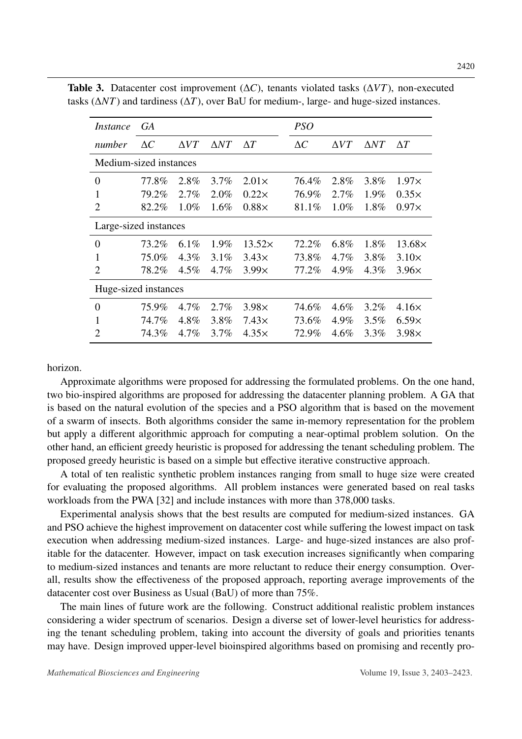| <i>Instance</i>        | GA         |             |             |               | <b>PSO</b> |             |             |               |
|------------------------|------------|-------------|-------------|---------------|------------|-------------|-------------|---------------|
| number                 | $\Delta C$ | $\Delta VT$ | $\Delta NT$ | $\Delta T$    | $\Delta C$ | $\Delta VT$ | $\Delta NT$ | $\Delta T$    |
| Medium-sized instances |            |             |             |               |            |             |             |               |
| $\boldsymbol{0}$       | 77.8%      | 2.8%        | 3.7%        | $2.01\times$  | 76.4%      | 2.8%        | 3.8%        | $1.97\times$  |
| 1                      | 79.2%      | $2.7\%$     | 2.0%        | $0.22\times$  | 76.9%      | $2.7\%$     | 1.9%        | $0.35\times$  |
| $\overline{2}$         | 82.2%      | 1.0%        | 1.6%        | $0.88\times$  | 81.1%      | 1.0%        | 1.8%        | $0.97\times$  |
| Large-sized instances  |            |             |             |               |            |             |             |               |
| $\overline{0}$         | 73.2%      | 6.1%        | 1.9%        | $13.52\times$ | 72.2%      | $6.8\%$     | 1.8%        | $13.68\times$ |
| 1                      | 75.0%      | $4.3\%$     | 3.1%        | $3.43\times$  | 73.8%      | $4.7\%$     | 3.8%        | $3.10\times$  |
| 2                      | 78.2%      | $4.5\%$     | $4.7\%$     | 3.99x         | 77.2%      | 4.9%        | 4.3%        | $3.96\times$  |
| Huge-sized instances   |            |             |             |               |            |             |             |               |
| $\overline{0}$         | 75.9%      | 4.7%        | 2.7%        | $3.98\times$  | 74.6%      | 4.6%        | 3.2%        | $4.16\times$  |
| $\mathbf{1}$           | 74.7%      | 4.8%        | 3.8%        | $7.43\times$  | 73.6%      | 4.9%        | 3.5%        | $6.59\times$  |
| $\overline{2}$         | 74.3%      | 4.7%        | 3.7%        | $4.35\times$  | 72.9%      | $4.6\%$     | 3.3%        | $3.98\times$  |

<span id="page-17-0"></span>Table 3. Datacenter cost improvement (∆*C*), tenants violated tasks (∆*VT*), non-executed tasks (∆*NT*) and tardiness (∆*T*), over BaU for medium-, large- and huge-sized instances.

horizon.

Approximate algorithms were proposed for addressing the formulated problems. On the one hand, two bio-inspired algorithms are proposed for addressing the datacenter planning problem. A GA that is based on the natural evolution of the species and a PSO algorithm that is based on the movement of a swarm of insects. Both algorithms consider the same in-memory representation for the problem but apply a different algorithmic approach for computing a near-optimal problem solution. On the other hand, an efficient greedy heuristic is proposed for addressing the tenant scheduling problem. The proposed greedy heuristic is based on a simple but effective iterative constructive approach.

A total of ten realistic synthetic problem instances ranging from small to huge size were created for evaluating the proposed algorithms. All problem instances were generated based on real tasks workloads from the PWA [\[32\]](#page-20-2) and include instances with more than 378,000 tasks.

Experimental analysis shows that the best results are computed for medium-sized instances. GA and PSO achieve the highest improvement on datacenter cost while suffering the lowest impact on task execution when addressing medium-sized instances. Large- and huge-sized instances are also profitable for the datacenter. However, impact on task execution increases significantly when comparing to medium-sized instances and tenants are more reluctant to reduce their energy consumption. Overall, results show the effectiveness of the proposed approach, reporting average improvements of the datacenter cost over Business as Usual (BaU) of more than 75%.

The main lines of future work are the following. Construct additional realistic problem instances considering a wider spectrum of scenarios. Design a diverse set of lower-level heuristics for addressing the tenant scheduling problem, taking into account the diversity of goals and priorities tenants may have. Design improved upper-level bioinspired algorithms based on promising and recently pro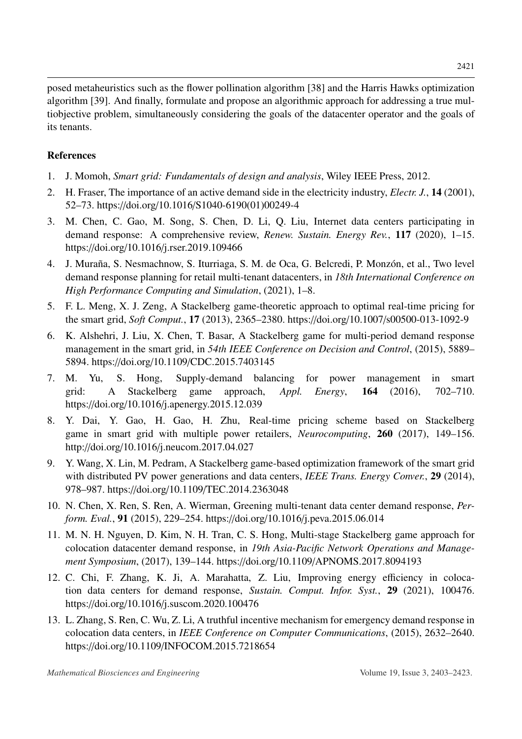posed metaheuristics such as the flower pollination algorithm [\[38\]](#page-20-8) and the Harris Hawks optimization algorithm [\[39\]](#page-20-9). And finally, formulate and propose an algorithmic approach for addressing a true multiobjective problem, simultaneously considering the goals of the datacenter operator and the goals of its tenants.

# References

- <span id="page-18-0"></span>1. J. Momoh, *Smart grid: Fundamentals of design and analysis*, Wiley IEEE Press, 2012.
- <span id="page-18-1"></span>2. H. Fraser, The importance of an active demand side in the electricity industry, *Electr. J.*, 14 (2001), 52–73. https://doi.org/10.1016/S1040-6190(01)00249-4
- <span id="page-18-2"></span>3. M. Chen, C. Gao, M. Song, S. Chen, D. Li, Q. Liu, Internet data centers participating in demand response: A comprehensive review, *Renew. Sustain. Energy Rev.*, 117 (2020), 1–15. https://doi.org/10.1016/j.rser.2019.109466
- <span id="page-18-3"></span>4. J. Muraña, S. Nesmachnow, S. Iturriaga, S. M. de Oca, G. Belcredi, P. Monzón, et al., Two level demand response planning for retail multi-tenant datacenters, in *18th International Conference on High Performance Computing and Simulation*, (2021), 1–8.
- <span id="page-18-4"></span>5. F. L. Meng, X. J. Zeng, A Stackelberg game-theoretic approach to optimal real-time pricing for the smart grid, *Soft Comput.*, 17 (2013), 2365–2380. https://doi.org/10.1007/s00500-013-1092-9
- <span id="page-18-5"></span>6. K. Alshehri, J. Liu, X. Chen, T. Basar, A Stackelberg game for multi-period demand response management in the smart grid, in *54th IEEE Conference on Decision and Control*, (2015), 5889– 5894. https://doi.org/10.1109/CDC.2015.7403145
- <span id="page-18-6"></span>7. M. Yu, S. Hong, Supply-demand balancing for power management in smart grid: A Stackelberg game approach, *Appl. Energy*, 164 (2016), 702–710. https://doi.org/10.1016/j.apenergy.2015.12.039
- <span id="page-18-7"></span>8. Y. Dai, Y. Gao, H. Gao, H. Zhu, Real-time pricing scheme based on Stackelberg game in smart grid with multiple power retailers, *Neurocomputing*, 260 (2017), 149–156. http://doi.org/10.1016/j.neucom.2017.04.027
- <span id="page-18-8"></span>9. Y. Wang, X. Lin, M. Pedram, A Stackelberg game-based optimization framework of the smart grid with distributed PV power generations and data centers, *IEEE Trans. Energy Conver.*, 29 (2014), 978–987. https://doi.org/10.1109/TEC.2014.2363048
- <span id="page-18-9"></span>10. N. Chen, X. Ren, S. Ren, A. Wierman, Greening multi-tenant data center demand response, *Perform. Eval.*, 91 (2015), 229–254. https://doi.org/10.1016/j.peva.2015.06.014
- <span id="page-18-10"></span>11. M. N. H. Nguyen, D. Kim, N. H. Tran, C. S. Hong, Multi-stage Stackelberg game approach for colocation datacenter demand response, in *19th Asia-Pacific Network Operations and Management Symposium*, (2017), 139–144. https://doi.org/10.1109/APNOMS.2017.8094193
- <span id="page-18-11"></span>12. C. Chi, F. Zhang, K. Ji, A. Marahatta, Z. Liu, Improving energy efficiency in colocation data centers for demand response, *Sustain. Comput. Infor. Syst.*, 29 (2021), 100476. https://doi.org/10.1016/j.suscom.2020.100476
- <span id="page-18-12"></span>13. L. Zhang, S. Ren, C. Wu, Z. Li, A truthful incentive mechanism for emergency demand response in colocation data centers, in *IEEE Conference on Computer Communications*, (2015), 2632–2640. https://doi.org/10.1109/INFOCOM.2015.7218654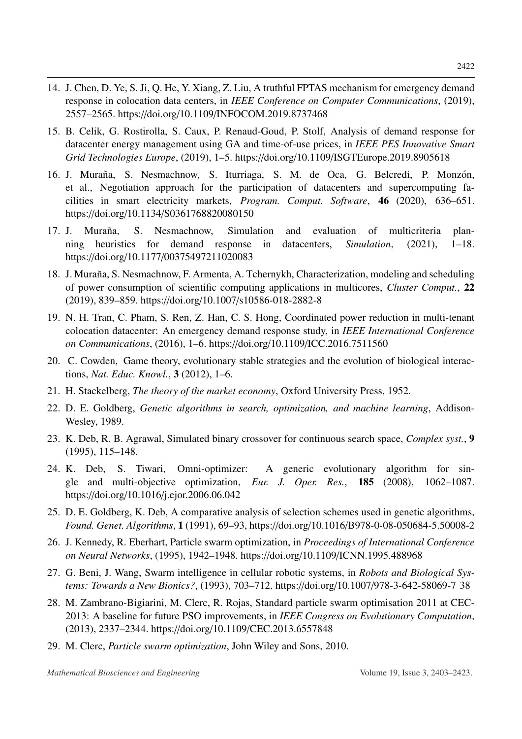- <span id="page-19-0"></span>14. J. Chen, D. Ye, S. Ji, Q. He, Y. Xiang, Z. Liu, A truthful FPTAS mechanism for emergency demand response in colocation data centers, in *IEEE Conference on Computer Communications*, (2019), 2557–2565. https://doi.org/10.1109/INFOCOM.2019.8737468
- <span id="page-19-1"></span>15. B. Celik, G. Rostirolla, S. Caux, P. Renaud-Goud, P. Stolf, Analysis of demand response for datacenter energy management using GA and time-of-use prices, in *IEEE PES Innovative Smart Grid Technologies Europe*, (2019), 1–5. https://doi.org/10.1109/ISGTEurope.2019.8905618
- <span id="page-19-2"></span>16. J. Muraña, S. Nesmachnow, S. Iturriaga, S. M. de Oca, G. Belcredi, P. Monzón, et al., Negotiation approach for the participation of datacenters and supercomputing facilities in smart electricity markets, *Program. Comput. Software*, 46 (2020), 636–651. https://doi.org/10.1134/S0361768820080150
- <span id="page-19-3"></span>17. J. Muraña, S. Nesmachnow, Simulation and evaluation of multicriteria planning heuristics for demand response in datacenters, *Simulation*, (2021), 1–18. https://doi.org/10.1177/00375497211020083
- <span id="page-19-4"></span>18. J. Muraña, S. Nesmachnow, F. Armenta, A. Tchernykh, Characterization, modeling and scheduling of power consumption of scientific computing applications in multicores, *Cluster Comput.*, 22 (2019), 839–859. https://doi.org/10.1007/s10586-018-2882-8
- <span id="page-19-5"></span>19. N. H. Tran, C. Pham, S. Ren, Z. Han, C. S. Hong, Coordinated power reduction in multi-tenant colocation datacenter: An emergency demand response study, in *IEEE International Conference on Communications*, (2016), 1–6. https://doi.org/10.1109/ICC.2016.7511560
- <span id="page-19-6"></span>20. C. Cowden, Game theory, evolutionary stable strategies and the evolution of biological interactions, *Nat. Educ. Knowl.*, 3 (2012), 1–6.
- <span id="page-19-7"></span>21. H. Stackelberg, *The theory of the market economy*, Oxford University Press, 1952.
- <span id="page-19-8"></span>22. D. E. Goldberg, *Genetic algorithms in search, optimization, and machine learning*, Addison-Wesley, 1989.
- <span id="page-19-9"></span>23. K. Deb, R. B. Agrawal, Simulated binary crossover for continuous search space, *Complex syst.*, 9 (1995), 115–148.
- <span id="page-19-10"></span>24. K. Deb, S. Tiwari, Omni-optimizer: A generic evolutionary algorithm for single and multi-objective optimization, *Eur. J. Oper. Res.*, 185 (2008), 1062–1087. https://doi.org/10.1016/j.ejor.2006.06.042
- <span id="page-19-11"></span>25. D. E. Goldberg, K. Deb, A comparative analysis of selection schemes used in genetic algorithms, *Found. Genet. Algorithms*, 1 (1991), 69–93, https://doi.org/10.1016/B978-0-08-050684-5.50008-2
- <span id="page-19-12"></span>26. J. Kennedy, R. Eberhart, Particle swarm optimization, in *Proceedings of International Conference on Neural Networks*, (1995), 1942–1948. https://doi.org/10.1109/ICNN.1995.488968
- <span id="page-19-13"></span>27. G. Beni, J. Wang, Swarm intelligence in cellular robotic systems, in *Robots and Biological Systems: Towards a New Bionics?*, (1993), 703–712. https://doi.org/10.1007/978-3-642-58069-7 38
- <span id="page-19-14"></span>28. M. Zambrano-Bigiarini, M. Clerc, R. Rojas, Standard particle swarm optimisation 2011 at CEC-2013: A baseline for future PSO improvements, in *IEEE Congress on Evolutionary Computation*, (2013), 2337–2344. https://doi.org/10.1109/CEC.2013.6557848
- <span id="page-19-15"></span>29. M. Clerc, *Particle swarm optimization*, John Wiley and Sons, 2010.